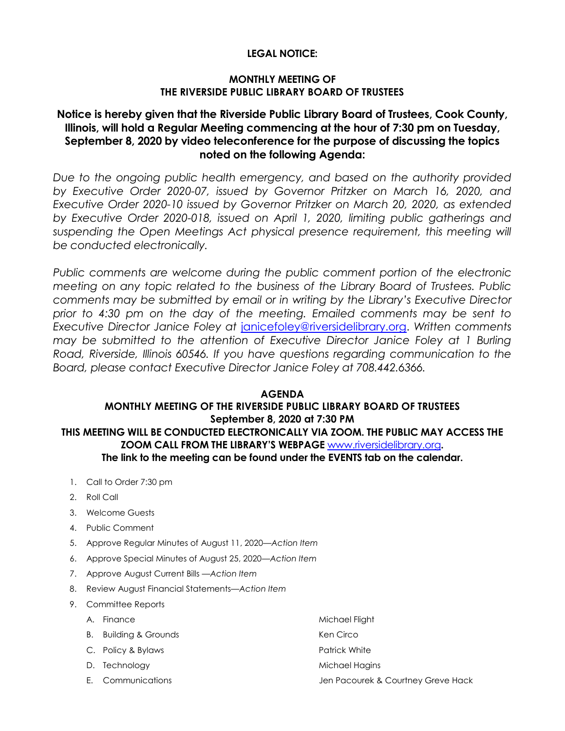#### **LEGAL NOTICE:**

#### **MONTHLY MEETING OF THE RIVERSIDE PUBLIC LIBRARY BOARD OF TRUSTEES**

# **Notice is hereby given that the Riverside Public Library Board of Trustees, Cook County, Illinois, will hold a Regular Meeting commencing at the hour of 7:30 pm on Tuesday, September 8, 2020 by video teleconference for the purpose of discussing the topics noted on the following Agenda:**

*Due to the ongoing public health emergency, and based on the authority provided by Executive Order 2020-07, issued by Governor Pritzker on March 16, 2020, and Executive Order 2020-10 issued by Governor Pritzker on March 20, 2020, as extended by Executive Order 2020-018, issued on April 1, 2020, limiting public gatherings and*  suspending the Open Meetings Act physical presence requirement, this meeting will *be conducted electronically.* 

*Public comments are welcome during the public comment portion of the electronic meeting on any topic related to the business of the Library Board of Trustees. Public comments may be submitted by email or in writing by the Library's Executive Director prior to 4:30 pm on the day of the meeting. Emailed comments may be sent to Executive Director Janice Foley at* [janicefoley@riversidelibrary.org.](mailto:janicefoley@riversidelibrary.org) *Written comments may be submitted to the attention of Executive Director Janice Foley at 1 Burling Road, Riverside, Illinois 60546. If you have questions regarding communication to the Board, please contact Executive Director Janice Foley at 708.442.6366.* 

#### **AGENDA MONTHLY MEETING OF THE RIVERSIDE PUBLIC LIBRARY BOARD OF TRUSTEES September 8, 2020 at 7:30 PM**

#### **THIS MEETING WILL BE CONDUCTED ELECTRONICALLY VIA ZOOM. THE PUBLIC MAY ACCESS THE ZOOM CALL FROM THE LIBRARY'S WEBPAGE** [www.riversidelibrary.org](http://www.riversidelibrary.org/)**. The link to the meeting can be found under the EVENTS tab on the calendar.**

- 1. Call to Order 7:30 pm
- 2. Roll Call
- 3. Welcome Guests
- 4. Public Comment
- 5. Approve Regular Minutes of August 11, 2020*—Action Item*
- 6. Approve Special Minutes of August 25, 2020*—Action Item*
- 7. Approve August Current Bills —*Action Item*
- 8. Review August Financial Statements—*Action Item*
- 9. Committee Reports
	-
	- B. Building & Grounds **Ken Circo** Ken Circo
	- C. Policy & Bylaws **Patrick White** Patrick White
	-
	-
	- A. Finance Michael Flight
		-
		-
	- D. Technology and the matrix of the Michael Hagins
	- E. Communications Jen Pacourek & Courtney Greve Hack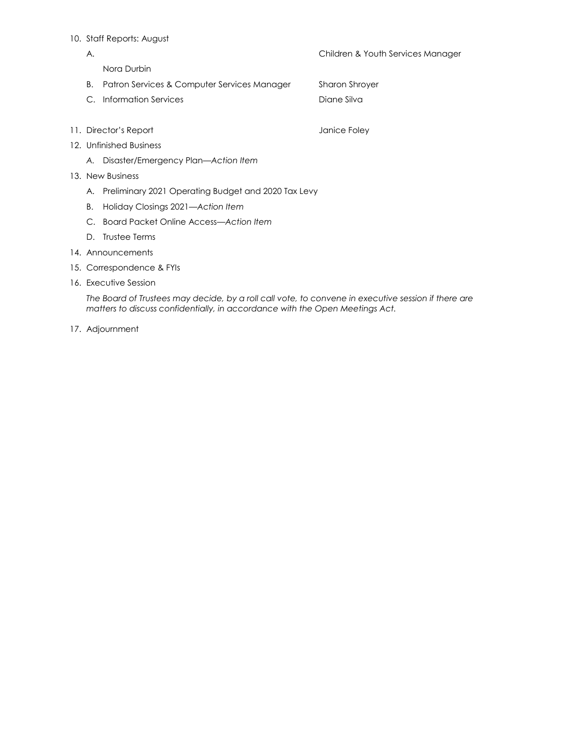#### 10. Staff Reports: August

| Children & Youth Services Manager |
|-----------------------------------|
|                                   |

Nora Durbin

- B. Patron Services & Computer Services ManagerSharon Shroyer
- C. Information Services **Diane Silva Diane Silva**
- 11. Director's Report **Containers** and a state of the United States of Tanice Foley
- 12. Unfinished Business
	- *A.* Disaster/Emergency Plan*—Action Item*
- 13. New Business
	- A. Preliminary 2021 Operating Budget and 2020 Tax Levy
	- B. Holiday Closings 2021*—Action Item*
	- C. Board Packet Online Access*—Action Item*
	- D. Trustee Terms
- 14. Announcements
- 15. Correspondence & FYIs
- 16. Executive Session

*The Board of Trustees may decide, by a roll call vote, to convene in executive session if there are matters to discuss confidentially, in accordance with the Open Meetings Act.*

17. Adjournment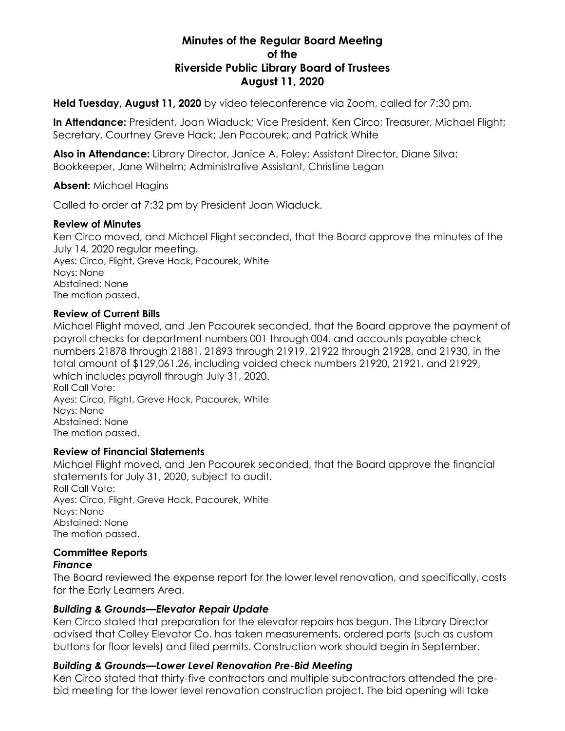# **Minutes of the Regular Board Meeting of the Riverside Public Library Board of Trustees August 11, 2020**

**Held Tuesday, August 11, 2020** by video teleconference via Zoom, called for 7:30 pm.

**In Attendance:** President, Joan Wiaduck; Vice President, Ken Circo; Treasurer, Michael Flight; Secretary, Courtney Greve Hack; Jen Pacourek; and Patrick White

**Also in Attendance:** Library Director, Janice A. Foley; Assistant Director, Diane Silva; Bookkeeper, Jane Wilhelm; Administrative Assistant, Christine Legan

**Absent:** Michael Hagins

Called to order at 7:32 pm by President Joan Wiaduck.

#### **Review of Minutes**

Ken Circo moved, and Michael Flight seconded, that the Board approve the minutes of the July 14, 2020 regular meeting. Ayes: Circo, Flight, Greve Hack, Pacourek, White Nays: None Abstained: None The motion passed.

#### **Review of Current Bills**

Michael Flight moved, and Jen Pacourek seconded, that the Board approve the payment of payroll checks for department numbers 001 through 004, and accounts payable check numbers 21878 through 21881, 21893 through 21919, 21922 through 21928, and 21930, in the total amount of \$129,061.26, including voided check numbers 21920, 21921, and 21929, which includes payroll through July 31, 2020. Roll Call Vote: Ayes: Circo, Flight, Greve Hack, Pacourek, White

Nays: None Abstained: None The motion passed.

#### **Review of Financial Statements**

Michael Flight moved, and Jen Pacourek seconded, that the Board approve the financial statements for July 31, 2020, subject to audit. Roll Call Vote: Ayes: Circo, Flight, Greve Hack, Pacourek, White Nays: None Abstained: None The motion passed.

# **Committee Reports**

#### *Finance*

The Board reviewed the expense report for the lower level renovation, and specifically, costs for the Early Learners Area.

#### *Building & Grounds—Elevator Repair Update*

Ken Circo stated that preparation for the elevator repairs has begun. The Library Director advised that Colley Elevator Co. has taken measurements, ordered parts (such as custom buttons for floor levels) and filed permits. Construction work should begin in September.

#### *Building & Grounds—Lower Level Renovation Pre-Bid Meeting*

Ken Circo stated that thirty-five contractors and multiple subcontractors attended the prebid meeting for the lower level renovation construction project. The bid opening will take